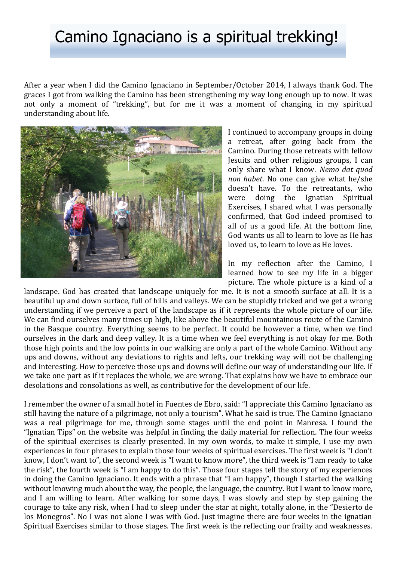After a year when I did the Camino Ignaciano in September/October 2014, I always thank God. The graces I got from walking the Camino has been strengthening my way long enough up to now. It was not only a moment of "trekking", but for me it was a moment of changing in my spiritual understanding about life.



I continued to accompany groups in doing a retreat, after going back from the Camino. During those retreats with fellow Jesuits and other religious groups, I can only share what I know. *Nemo dat quod non habet*. No one can give what he/she doesn't have. To the retreatants, who were doing the Ignatian Spiritual Exercises, I shared what I was personally confirmed, that God indeed promised to all of us a good life. At the bottom line, God wants us all to learn to love as He has loved us, to learn to love as He loves.

In my reflection after the Camino, I learned how to see my life in a bigger picture. The whole picture is a kind of a

landscape. God has created that landscape uniquely for me. It is not a smooth surface at all. It is a beautiful up and down surface, full of hills and valleys. We can be stupidly tricked and we get a wrong understanding if we perceive a part of the landscape as if it represents the whole picture of our life. We can find ourselves many times up high, like above the beautiful mountainous route of the Camino in the Basque country. Everything seems to be perfect. It could be however a time, when we find ourselves in the dark and deep valley. It is a time when we feel everything is not okay for me. Both those high points and the low points in our walking are only a part of the whole Camino. Without any ups and downs, without any deviations to rights and lefts, our trekking way will not be challenging and interesting. How to perceive those ups and downs will define our way of understanding our life. If we take one part as if it replaces the whole, we are wrong. That explains how we have to embrace our desolations and consolations as well, as contributive for the development of our life.

I remember the owner of a small hotel in Fuentes de Ebro, said: "I appreciate this Camino Ignaciano as still having the nature of a pilgrimage, not only a tourism". What he said is true. The Camino Ignaciano was a real pilgrimage for me, through some stages until the end point in Manresa. I found the "Ignatian Tips" on the website was helpful in finding the daily material for reflection. The four weeks of the spiritual exercises is clearly presented. In my own words, to make it simple, I use my own experiences in four phrases to explain those four weeks of spiritual exercises. The first week is "I don't know, I don't want to", the second week is "I want to know more", the third week is "I am ready to take the risk", the fourth week is "I am happy to do this". Those four stages tell the story of my experiences in doing the Camino Ignaciano. It ends with a phrase that "I am happy", though I started the walking without knowing much about the way, the people, the language, the country. But I want to know more, and I am willing to learn. After walking for some days, I was slowly and step by step gaining the courage to take any risk, when I had to sleep under the star at night, totally alone, in the "Desierto de los Monegros". No I was not alone I was with God. Just imagine there are four weeks in the ignatian Spiritual Exercises similar to those stages. The first week is the reflecting our frailty and weaknesses.